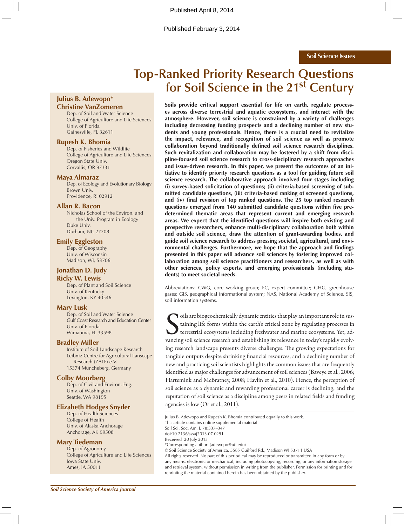# **Top-Ranked Priority Research Questions for Soil Science in the 21st Century**

**Soils provide critical support essential for life on earth, regulate processes across diverse terrestrial and aquatic ecosystems, and interact with the atmosphere. However, soil science is constrained by a variety of challenges including decreasing funding prospects and a declining number of new students and young professionals. Hence, there is a crucial need to revitalize the impact, relevance, and recognition of soil science as well as promote collaboration beyond traditionally defined soil science research disciplines. Such revitalization and collaboration may be fostered by a shift from discipline-focused soil science research to cross-disciplinary research approaches and issue-driven research. In this paper, we present the outcomes of an initiative to identify priority research questions as a tool for guiding future soil science research. The collaborative approach involved four stages including (i) survey-based solicitation of questions; (ii) criteria-based screening of submitted candidate questions, (iii) criteria-based ranking of screened questions, and (iv) final revision of top ranked questions. The 25 top ranked research questions emerged from 140 submitted candidate questions within five predetermined thematic areas that represent current and emerging research areas. We expect that the identified questions will inspire both existing and prospective researchers, enhance multi-disciplinary collaboration both within and outside soil science, draw the attention of grant-awarding bodies, and guide soil science research to address pressing societal, agricultural, and environmental challenges. Furthermore, we hope that the approach and findings presented in this paper will advance soil sciences by fostering improved collaboration among soil science practitioners and researchers, as well as with other sciences, policy experts, and emerging professionals (including students) to meet societal needs.**

Abbreviations: CWG, core working group; EC, expert committee; GHG, greenhouse gases; GIS, geographical informational system; NAS, National Academy of Science, SIS, soil information systems.

Soils are biogeochemically dynamic entities that play an important role in sustaining life forms within the earth's critical zone by regulating processes in terrestrial ecosystems including freshwater and marine ecosystems oils are biogeochemically dynamic entities that play an important role in sustaining life forms within the earth's critical zone by regulating processes in terrestrial ecosystems including freshwater and marine ecosystems. Yet, ading research landscape presents diverse challenges. The growing expectations for tangible outputs despite shrinking financial resources, and a declining number of new and practicing soil scientists highlights the common issues that are frequently identified as major challenges for advancement of soil sciences (Baveye et al., 2006; Hartemink and McBratney, 2008; Havlin et al., 2010). Hence, the perception of soil science as a dynamic and rewarding professional career is declining, and the reputation of soil science as a discipline among peers in related fields and funding agencies is low (Or et al., 2011).

Julius B. Adewopo and Rupesh K. Bhomia contributed equally to this work. This article contains online supplemental material. Soil Sci. Soc. Am. J. 78:337–347 doi:10.2136/sssaj2013.07.0291 Received 20 July 2013 \*Corresponding author: (adewopo@ufl.edu) © Soil Science Society of America, 5585 Guilford Rd., Madison WI 53711 USA All rights reserved. No part of this periodical may be reproduced or transmitted in any form or by any means, electronic or mechanical, including photocopying, recording, or any information storage and retrieval system, without permission in writing from the publisher. Permission for printing and for reprinting the material contained herein has been obtained by the publisher.

## **Julius B. Adewopo\***

## **Christine VanZomeren**

Dep. of Soil and Water Science College of Agriculture and Life Sciences Univ. of Florida Gainesville, FL 32611

#### **Rupesh K. Bhomia**

Dep. of Fisheries and Wildlife College of Agriculture and Life Sciences Oregon State Univ. Corvallis, OR 97331

#### **Maya Almaraz**

Dep. of Ecology and Evolutionary Biology Brown Univ. Providence, RI 02912

#### **Allan R. Bacon**

Nicholas School of the Environ. and the Univ. Program in Ecology Duke Univ. Durham, NC 27708

#### **Emily Eggleston**

Dep. of Geography Univ. of Wisconsin Madison, WI, 53706

#### **Jonathan D. Judy Ricky W. Lewis**

Dep. of Plant and Soil Science Univ. of Kentucky Lexington, KY 40546

#### **Mary Lusk**

Dep. of Soil and Water Science Gulf Coast Research and Education Center Univ. of Florida Wimauma, FL 33598

#### **Bradley Miller**

Institute of Soil Landscape Research Leibniz Centre for Agricultural Lanscape Research (ZALF) e.V. 15374 Müncheberg, Germany

#### **Colby Moorberg**

Dep. of Civil and Environ. Eng. Univ. of Washington Seattle, WA 98195

#### **Elizabeth Hodges Snyder**

Dep. of Health Sciences College of Health Univ. of Alaska Anchorage Anchorage, AK 99508

## **Mary Tiedeman**

Dep. of Agronomy College of Agriculture and Life Sciences Iowa State Univ. Ames, IA 50011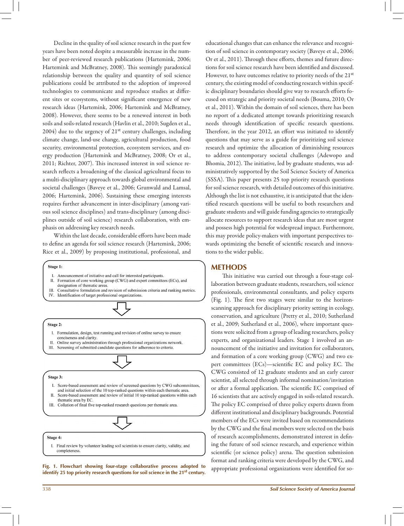Decline in the quality of soil science research in the past few years have been noted despite a measurable increase in the number of peer-reviewed research publications (Hartemink, 2006; Hartemink and McBratney, 2008). This seemingly paradoxical relationship between the quality and quantity of soil science publications could be attributed to the adoption of improved technologies to communicate and reproduce studies at different sites or ecosystems, without significant emergence of new research ideas (Hartemink, 2006; Hartemink and McBratney, 2008). However, there seems to be a renewed interest in both soils and soils-related research (Havlin et al., 2010; Sugden et al.,  $2004$ ) due to the urgency of  $21<sup>st</sup>$  century challenges, including climate change, land-use change, agricultural production, food security, environmental protection, ecosystem services, and energy production (Hartemink and McBratney, 2008; Or et al., 2011; Richter, 2007). This increased interest in soil science research reflects a broadening of the classical agricultural focus to a multi-disciplinary approach towards global environmental and societal challenges (Baveye et al., 2006; Grunwald and Lamsal, 2006; Hartemink, 2006). Sustaining these emerging interests requires further advancement in inter-disciplinary (among various soil science disciplines) and trans-disciplinary (among disciplines outside of soil science) research collaboration, with emphasis on addressing key research needs.

Within the last decade, considerable efforts have been made to define an agenda for soil science research (Hartemink, 2006; Rice et al., 2009) by proposing institutional, professional, and

#### Stage 1:

- Announcement of initiative and call for interested participants.
- Formation of core working group (CWG) and expert committees (ECs), and П.
- designation of thematic areas.
- III. Consultative formulation and revision of submission criteria and ranking metrics. IV. Identification of target professional organizations

Stage 2:

- I. Formulation, design, test running and revision of online survey to ensure conciseness and clarity.
- Π. Online survey administration through professional organizations network.
- III. Screening of submitted candidate questions for adherence to criteria.

Stage 3:

- I. Score-based assessment and review of screened questions by CWG subcommittees, and initial selection of the 10 top-ranked questions within each thematic area. Score-based assessment and review of initial 10 top-ranked questions within each
- thematic area by EC. III. Collation of final five top-ranked research questions per thematic area.



Final review by volunteer leading soil scientists to ensure clarity, validity, and L. completeness

Fig. 1. Flowchart showing four-stage collaborative process adopted to appropriate professional organizations were identified for so**identify 25 top priority research questions for soil science in the 21st century.**

educational changes that can enhance the relevance and recognition of soil science in contemporary society (Baveye et al., 2006; Or et al., 2011). Through these efforts, themes and future directions for soil science research have been identified and discussed. However, to have outcomes relative to priority needs of the 21<sup>st</sup> century, the existing model of conducting research within specific disciplinary boundaries should give way to research efforts focused on strategic and priority societal needs (Bouma, 2010; Or et al., 2011). Within the domain of soil sciences, there has been no report of a dedicated attempt towards prioritizing research needs through identification of specific research questions. Therefore, in the year 2012, an effort was initiated to identify questions that may serve as a guide for prioritizing soil science research and optimize the allocation of diminishing resources to address contemporary societal challenges (Adewopo and Bhomia, 2012). The initiative, led by graduate students, was administratively supported by the Soil Science Society of America (SSSA). This paper presents 25 top priority research questions for soil science research, with detailed outcomes of this initiative. Although the list is not exhaustive, it is anticipated that the identified research questions will be useful to both researchers and graduate students and will guide funding agencies to strategically allocate resources to support research ideas that are most urgent and possess high potential for widespread impact. Furthermore, this may provide policy-makers with important perspectives towards optimizing the benefit of scientific research and innovations to the wider public.

#### **METHODS**

This initiative was carried out through a four-stage collaboration between graduate students, researchers, soil science professionals, environmental consultants, and policy experts (Fig. 1). The first two stages were similar to the horizonscanning approach for disciplinary priority setting in ecology, conservation, and agriculture (Pretty et al., 2010; Sutherland et al., 2009; Sutherland et al., 2006), where important questions were solicited from a group of leading researchers, policy experts, and organizational leaders. Stage 1 involved an announcement of the initiative and invitation for collaborators, and formation of a core working group (CWG) and two expert committees (ECs)—scientific EC and policy EC. The CWG consisted of 12 graduate students and an early career scientist, all selected through informal nomination/invitation or after a formal application. The scientific EC comprised of 16 scientists that are actively engaged in soils-related research. The policy EC comprised of three policy experts drawn from different institutional and disciplinary backgrounds. Potential members of the ECs were invited based on recommendations by the CWG and the final members were selected on the basis of research accomplishments, demonstrated interest in defining the future of soil science research, and experience within scientific (or science policy) arena. The question submission format and ranking criteria were developed by the CWG, and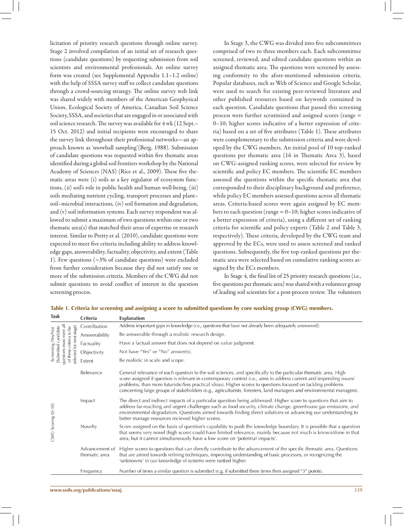licitation of priority research questions through online survey. Stage 2 involved compilation of an initial set of research questions (candidate questions) by requesting submission from soil scientists and environmental professionals. An online survey form was created (see Supplemental Appendix 1.1–1.2 online) with the help of SSSA survey staff to collect candidate questions through a crowd-sourcing strategy. The online survey web link was shared widely with members of the American Geophysical Union, Ecological Society of America, Canadian Soil Science Society, SSSA, and societies that are engaged in or associated with soil science research. The survey was available for 4 wk (12 Sept.– 15 Oct. 2012) and initial recipients were encouraged to share the survey link throughout their professional networks—an approach known as 'snowball sampling'(Berg, 1988). Submission of candidate questions was requested within five thematic areas identified during a global soil frontiers workshop by the National Academy of Sciences (NAS) (Rice et al., 2009). These five thematic areas were (i) soils as a key regulator of ecosystem functions, (ii) soil's role in public health and human well-being, (iii) soils mediating nutrient cycling, transport processes and plant– soil–microbial interactions, (iv) soil formation and degradation, and (v) soil information systems. Each survey respondent was allowed to submit a maximum of two questions within one or two thematic area(s) that matched their areas of expertise or research interest. Similar to Pretty et al. (2010), candidate questions were expected to meet five criteria including ability to address knowledge gaps, answerability, factuality, objectivity, and extent (Table 1). Few questions  $({\sim}3\%$  of candidate questions) were excluded from further consideration because they did not satisfy one or more of the submission criteria. Members of the CWG did not submit questions to avoid conflict of interest in the question screening process.

**Explanation** 

In Stage 3, the CWG was divided into five subcommittees comprised of two to three members each. Each subcommittee screened, reviewed, and edited candidate questions within an assigned thematic area. The questions were screened by assessing conformity to the afore-mentioned submission criteria. Popular databases, such as Web of Science and Google Scholar, were used to search for existing peer-reviewed literature and other published resources based on keywords contained in each question. Candidate questions that passed this screening process were further scrutinized and assigned scores (range = 0–10; higher scores indicative of a better expression of criteria) based on a set of five attributes (Table 1). These attributes were complementary to the submission criteria and were developed by the CWG members. An initial pool of 10 top-ranked questions per thematic area (16 in Thematic Area 3), based on CWG-assigned ranking scores, were selected for review by scientific and policy EC members. The scientific EC members assessed the questions within the specific thematic area that corresponded to their disciplinary background and preference, while policy EC members assessed questions across all thematic areas. Criteria-based scores were again assigned by EC members to each question (range  $= 0-10$ ; higher scores indicative of a better expression of criteria), using a different set of ranking criteria for scientific and policy experts (Table 2 and Table 3, respectively). These criteria, developed by the CWG team and approved by the ECs, were used to assess screened and ranked questions. Subsequently, the five top-ranked questions per thematic area were selected based on cumulative ranking scores assigned by the ECs members.

In Stage 4, the final list of 25 priority research questions (i.e., five questions per thematic area) was shared with a volunteer group of leading soil scientists for a post-process review. The volunteers

| questions must meet all<br>stage]<br>I candidate<br>criteria to be<br>Screening (Yes/No)<br>for next<br>[Submitted<br>of these<br>selected | Contribution                    | Address important gaps in knowledge (i.e., questions that have not already been adequately answered).                                                                                                                                                                                                                                                                                                                                                                           |
|--------------------------------------------------------------------------------------------------------------------------------------------|---------------------------------|---------------------------------------------------------------------------------------------------------------------------------------------------------------------------------------------------------------------------------------------------------------------------------------------------------------------------------------------------------------------------------------------------------------------------------------------------------------------------------|
|                                                                                                                                            | Answerability                   | Be answerable through a realistic research design.                                                                                                                                                                                                                                                                                                                                                                                                                              |
|                                                                                                                                            | Factuality                      | Have a factual answer that does not depend on value judgment.                                                                                                                                                                                                                                                                                                                                                                                                                   |
|                                                                                                                                            | Objectivity                     | Not have "Yes" or "No" answer(s).                                                                                                                                                                                                                                                                                                                                                                                                                                               |
|                                                                                                                                            | Extent                          | Be realistic in scale and scope.                                                                                                                                                                                                                                                                                                                                                                                                                                                |
| CWG Scoring (0-10)                                                                                                                         | Relevance                       | General relevance of each question to the soil sciences, and specifically to the particular thematic area. High<br>score assigned if question is relevant in contemporary context (i.e., aims to address current and impending issues/<br>problems, than more futuristic/less practical ideas). Higher scores to questions focused on tackling problems<br>concerning large groups of stakeholders (e.g., agriculturists, foresters, land managers and environmental managers). |
|                                                                                                                                            | Impact                          | The direct and indirect impacts of a particular question being addressed. Higher score to questions that aim to<br>address far-reaching and urgent challenges such as food security, climate change, greenhouse gas emissions, and<br>environmental degradation. Questions aimed towards finding direct solutions or advancing our understanding to<br>better manage resources recieved higher scores.                                                                          |
|                                                                                                                                            | Novelty                         | Score assigned on the basis of question's capability to push the knowledge boundary. It is possible that a question<br>that seems very novel (high score) could have limited relevance, mainly because not much is known/done in that<br>area, but it cannot simultaneously have a low score on 'potential impacts'.                                                                                                                                                            |
|                                                                                                                                            | Advancement of<br>thematic area | Higher scores to questions that can directly contribute to the advancement of the specific thematic area. Questions<br>that are aimed towards refining techniques, improving understanding of basic processes, or recognizing the<br>'unknowns' in our knowledge of systems were ranked higher.                                                                                                                                                                                 |
|                                                                                                                                            | Frequency                       | Number of times a similar question is submitted (e.g. if submitted three times then assigned "3" points).                                                                                                                                                                                                                                                                                                                                                                       |

| Table 1. Criteria for screening and assigning a score to submitted questions by core working group (CWG) members. |  |  |  |  |  |  |  |
|-------------------------------------------------------------------------------------------------------------------|--|--|--|--|--|--|--|
|-------------------------------------------------------------------------------------------------------------------|--|--|--|--|--|--|--|

**Task** 

Criteria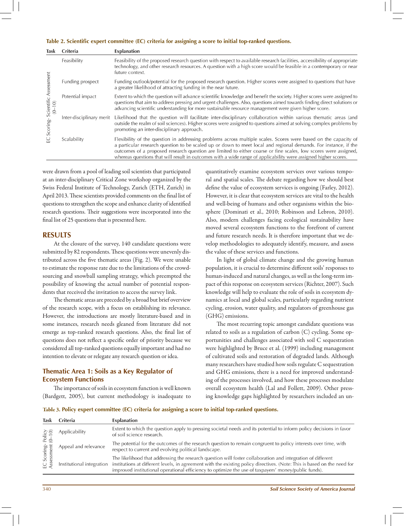#### Table 2. Scientific expert committee (EC) criteria for assigning a score to initial top-ranked questions.

| Task                                           | Criteria                 | <b>Explanation</b>                                                                                                                                                                                                                                                                                                                                                                                                                                                      |  |  |  |  |
|------------------------------------------------|--------------------------|-------------------------------------------------------------------------------------------------------------------------------------------------------------------------------------------------------------------------------------------------------------------------------------------------------------------------------------------------------------------------------------------------------------------------------------------------------------------------|--|--|--|--|
| Assessment<br>Scientific<br>ô<br>Scoring-<br>£ | Feasibility              | Feasibility of the proposed research question with respect to available research facilities, accessibility of appropriate<br>technology, and other research resources. A question with a high score would be feasible in a contemporary or near<br>future context.                                                                                                                                                                                                      |  |  |  |  |
|                                                | Funding prospect         | Funding outlook/potential for the proposed research question. Higher scores were assigned to questions that have<br>a greater likelihood of attracting funding in the near future.                                                                                                                                                                                                                                                                                      |  |  |  |  |
|                                                | Potential impact         | Extent to which the question will advance scientific knowledge and benefit the society. Higher scores were assigned to<br>questions that aim to address pressing and urgent challenges. Also, questions aimed towards finding direct solutions or<br>advancing scientific understanding for more sustainable resource management were given higher score.                                                                                                               |  |  |  |  |
|                                                | Inter-disciplinary merit | Likelihood that the question will facilitate inter-disciplinary collaboration within various thematic areas (and<br>outside the realm of soil sciences). Higher scores were assigned to questions aimed at solving complex problems by<br>promoting an inter-disciplinary approach.                                                                                                                                                                                     |  |  |  |  |
|                                                | Scalability              | Flexibility of the question in addressing problems across multiple scales. Scores were based on the capacity of<br>a particular research question to be scaled up or down to meet local and regional demands. For instance, if the<br>outcomes of a proposed research question are limited to either coarse or fine scales, low scores were assigned,<br>whereas questions that will result in outcomes with a wide range of applicability were assigned higher scores. |  |  |  |  |

were drawn from a pool of leading soil scientists that participated at an inter-disciplinary Critical Zone workshop organized by the Swiss Federal Institute of Technology, Zurich (ETH, Zurich) in April 2013. These scientists provided comments on the final list of questions to strengthen the scope and enhance clarity of identified research questions. Their suggestions were incorporated into the final list of 25 questions that is presented here.

#### **RESULTS**

At the closure of the survey, 140 candidate questions were submitted by 82 respondents. These questions were unevenly distributed across the five thematic areas (Fig. 2). We were unable to estimate the response rate due to the limitations of the crowdsourcing and snowball sampling strategy, which preempted the possibility of knowing the actual number of potential respondents that received the invitation to access the survey link.

The thematic areas are preceded by a broad but brief overview of the research scope, with a focus on establishing its relevance. However, the introductions are mostly literature-based and in some instances, research needs gleaned from literature did not emerge as top-ranked research questions. Also, the final list of questions does not reflect a specific order of priority because we considered all top-ranked questions equally important and had no intention to elevate or relegate any research question or idea.

## **Thematic Area 1: Soils as a Key Regulator of Ecosystem Functions**

The importance of soils in ecosystem function is well known (Bardgett, 2005), but current methodology is inadequate to quantitatively examine ecosystem services over various temporal and spatial scales. The debate regarding how we should best define the value of ecosystem services is ongoing (Farley, 2012). However, it is clear that ecosystem services are vital to the health and well-being of humans and other organisms within the biosphere (Dominati et al., 2010; Robinson and Lebron, 2010). Also, modern challenges facing ecological sustainability have moved several ecosystem functions to the forefront of current and future research needs. It is therefore important that we develop methodologies to adequately identify, measure, and assess the value of these services and functions.

In light of global climate change and the growing human population, it is crucial to determine different soils' responses to human-induced and natural changes, as well as the long-term impact of this response on ecosystem services (Richter, 2007). Such knowledge will help to evaluate the role of soils in ecosystem dynamics at local and global scales, particularly regarding nutrient cycling, erosion, water quality, and regulators of greenhouse gas (GHG) emissions.

The most recurring topic amongst candidate questions was related to soils as a regulation of carbon (C) cycling. Some opportunities and challenges associated with soil C sequestration were highlighted by Bruce et al. (1999) including management of cultivated soils and restoration of degraded lands. Although many researchers have studied how soils regulate C sequestration and GHG emissions, there is a need for improved understanding of the processes involved, and how these processes modulate overall ecosystem health (Lal and Follett, 2009). Other pressing knowledge gaps highlighted by researchers included an un-

| Table 3. Policy expert committee (EC) criteria for assigning a score to initial top-ranked questions |  |  |  |  |  |  |
|------------------------------------------------------------------------------------------------------|--|--|--|--|--|--|
|------------------------------------------------------------------------------------------------------|--|--|--|--|--|--|

| Task                                                         | Criteria                  | Explanation                                                                                                                                                                                                                                                                                                                                     |  |
|--------------------------------------------------------------|---------------------------|-------------------------------------------------------------------------------------------------------------------------------------------------------------------------------------------------------------------------------------------------------------------------------------------------------------------------------------------------|--|
| Policy<br>(0-10)<br>Scoring-<br>essment<br>$\overline{C}$ is | Applicability             | Extent to which the question apply to pressing societal needs and its potential to inform policy decisions in favor<br>of soil science research.                                                                                                                                                                                                |  |
|                                                              | Appeal and relevance      | The potential for the outcomes of the research question to remain congruent to policy interests over time, with<br>respect to current and evolving political landscape.                                                                                                                                                                         |  |
|                                                              | Institutional integration | The likelihood that addressing the research question will foster collaboration and integration of different<br>institutions at different levels, in agreement with the existing policy directives. (Note: This is based on the need for<br>improved institutional operational efficiency to optimize the use of taxpayers' money/public funds). |  |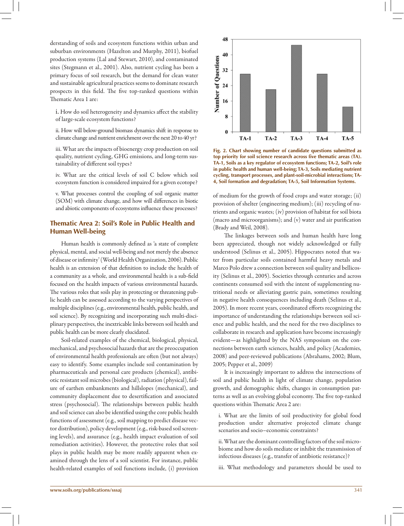derstanding of soils and ecosystem functions within urban and suburban environments (Hazelton and Murphy, 2011), biofuel production systems (Lal and Stewart, 2010), and contaminated sites (Stegmann et al., 2001). Also, nutrient cycling has been a primary focus of soil research, but the demand for clean water and sustainable agricultural practices seems to dominate research prospects in this field. The five top-ranked questions within Thematic Area 1 are:

i. How do soil heterogeneity and dynamics affect the stability of large-scale ecosystem functions?

ii. How will below-ground biomass dynamics shift in response to climate change and nutrient enrichment over the next 20 to 40 yr?

iii. What are the impacts of bioenergy crop production on soil quality, nutrient cycling, GHG emissions, and long-term sustainability of different soil types?

iv. What are the critical levels of soil C below which soil ecosystem function is considered impaired for a given ecotope?

v. What processes control the coupling of soil organic matter (SOM) with climate change, and how will differences in biotic and abiotic components of ecosystems influence these processes?

## **Thematic Area 2: Soil's Role in Public Health and Human Well-being**

Human health is commonly defined as 'a state of complete physical, mental, and social well-being and not merely the absence of disease or infirmity' (World Health Organization, 2006). Public health is an extension of that definition to include the health of a community as a whole, and environmental health is a sub-field focused on the health impacts of various environmental hazards. The various roles that soils play in protecting or threatening public health can be assessed according to the varying perspectives of multiple disciplines (e.g., environmental health, public health, and soil science). By recognizing and incorporating such multi-disciplinary perspectives, the inextricable links between soil health and public health can be more clearly elucidated.

Soil-related examples of the chemical, biological, physical, mechanical, and psychosocial hazards that are the preoccupation of environmental health professionals are often (but not always) easy to identify. Some examples include soil contamination by pharmaceuticals and personal care products (chemical), antibiotic resistant soil microbes (biological), radiation (physical), failure of earthen embankments and hillslopes (mechanical), and community displacement due to desertification and associated stress (psychosocial). The relationships between public health and soil science can also be identified using the core public health functions of assessment (e.g., soil mapping to predict disease vector distribution), policy development (e.g., risk-based soil screening levels), and assurance (e.g., health impact evaluation of soil remediation activities). However, the protective roles that soil plays in public health may be more readily apparent when examined through the lens of a soil scientist. For instance, public health-related examples of soil functions include, (i) provision



**Fig. 2. Chart showing number of candidate questions submitted as top priority for soil science research across five thematic areas (TA). TA-1, Soils as a key regulator of ecosystem functions; TA-2, Soil's role in public health and human well-being; TA-3, Soils mediating nutrient cycling, transport processes, and plant-soil-microbial interactions; TA-4, Soil formation and degradation; TA-5, Soil Information Systems.**

of medium for the growth of food crops and water storage; (ii) provision of shelter (engineering medium); (iii) recycling of nutrients and organic wastes; (iv) provision of habitat for soil biota (macro and microorganisms); and (v) water and air purification (Brady and Weil, 2008).

The linkages between soils and human health have long been appreciated, though not widely acknowledged or fully understood (Selinus et al., 2005). Hippocrates noted that water from particular soils contained harmful heavy metals and Marco Polo drew a connection between soil quality and bellicosity (Selinus et al., 2005). Societies through centuries and across continents consumed soil with the intent of supplementing nutritional needs or alleviating gastric pain, sometimes resulting in negative health consequences including death (Selinus et al., 2005). In more recent years, coordinated efforts recognizing the importance of understanding the relationships between soil science and public health, and the need for the two disciplines to collaborate in research and application have become increasingly evident—as highlighted by the NAS symposium on the connections between earth sciences, health, and policy (Academies, 2008) and peer-reviewed publications (Abrahams, 2002; Blum, 2005; Pepper et al., 2009)

It is increasingly important to address the intersections of soil and public health in light of climate change, population growth, and demographic shifts, changes in consumption patterns as well as an evolving global economy. The five top-ranked questions within Thematic Area 2 are:

i. What are the limits of soil productivity for global food production under alternative projected climate change scenarios and socio–economic constraints?

ii. What are the dominant controlling factors of the soil microbiome and how do soils mediate or inhibit the transmission of infectious diseases (e.g., transfer of antibiotic resistance)?

iii. What methodology and parameters should be used to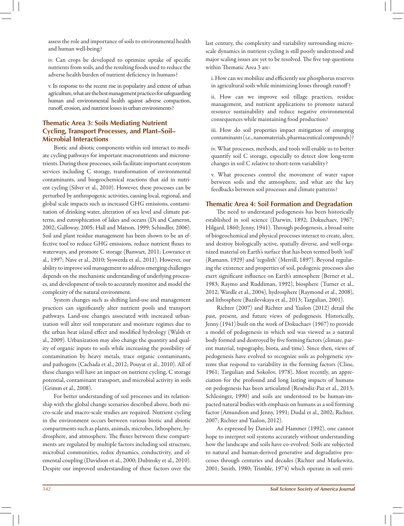assess the role and importance of soils to environmental health and human well-being?

iv. Can crops be developed to optimize uptake of specific nutrients from soils, and the resulting foods used to reduce the adverse health burden of nutrient deficiency in humans?

v. In response to the recent rise in popularity and extent of urban agriculture, what are the best management practices for safeguarding human and environmental health against adverse compaction, runoff, erosion, and nutrient losses in urban environments?

## **Thematic Area 3: Soils Mediating Nutrient Cycling, Transport Processes, and Plant–Soil– Microbial Interactions**

Biotic and abiotic components within soil interact to mediate cycling pathways for important macronutrients and micronutrients. During these processes, soils facilitate important ecosystem services including C storage, transformation of environmental contaminants, and biogeochemical reactions that aid in nutrient cycling (Silver et al., 2010). However, these processes can be perturbed by anthropogenic activities, causing local, regional, and global scale impacts such as increased GHG emissions, contamination of drinking water, alteration of sea level and climate patterns, and eutrophication of lakes and oceans (Di and Cameron, 2002; Galloway, 2005; Hall and Matson, 1999; Schindler, 2006). Soil and plant residue management has been shown to be an effective tool to reduce GHG emissions, reduce nutrient fluxes to waterways, and promote C storage (Banwart, 2011; Lowrance et al., 1997; Nave et al., 2010; Syswerda et al., 2011). However, our ability to improve soil management to address emerging challenges depends on the mechanistic understanding of underlying processes, and development of tools to accurately monitor and model the complexity of the natural environment.

System changes such as shifting land-use and management practices can significantly alter nutrient pools and transport pathways. Land-use changes associated with increased urbanization will alter soil temperature and moisture regimes due to the urban heat island effect and modified hydrology (Walsh et al., 2009). Urbanization may also change the quantity and quality of organic inputs to soils while increasing the possibility of contamination by heavy metals, trace organic contaminants, and pathogens (Cachada et al., 2012; Pouyat et al., 2010). All of these changes will have an impact on nutrient cycling, C storage potential, contaminant transport, and microbial activity in soils (Grimm et al., 2008).

For better understanding of soil processes and its relationship with the global change scenarios described above, both micro-scale and macro-scale studies are required. Nutrient cycling in the environment occurs between various biotic and abiotic compartments such as plants, animals, microbes, lithosphere, hydrosphere, and atmosphere. The fluxes between these compartments are regulated by multiple factors including soil structure, microbial communities, redox dynamics, conductivity, and elemental coupling (Davidson et al., 2000; Dubinsky et al., 2010). Despite our improved understanding of these factors over the

last century, the complexity and variability surrounding microscale dynamics in nutrient cycling is still poorly understood and major scaling issues are yet to be resolved. The five top questions within Thematic Area 3 are:

i. How can we mobilize and efficiently use phosphorus reserves in agricultural soils while minimizing losses through runoff ?

ii. How can we improve soil tillage practices, residue management, and nutrient applications to promote natural resource sustainability and reduce negative environmental consequences while maintaining food production?

iii. How do soil properties impact mitigation of emerging contaminants (i.e., nanomaterials, pharmaceutical compounds)?

iv. What processes, methods, and tools will enable us to better quantify soil C storage, especially to detect slow long-term changes in soil C relative to short-term variability?

v. What processes control the movement of water vapor between soils and the atmosphere, and what are the key feedbacks between soil processes and climate patterns?

## **Thematic Area 4: Soil Formation and Degradation**

The need to understand pedogenesis has been historically established in soil science (Darwin, 1892; Dokuchaev, 1967; Hilgard, 1860; Jenny, 1941). Through pedogenesis, a broad suite of biogeochemical and physical processes interact to create, alter, and destroy biologically active, spatially diverse, and well-organized material on Earth's surface that has been termed both 'soil' (Ramann, 1929) and 'regolith' (Merrill, 1897). Beyond regulating the existence and properties of soil, pedogenic processes also exert significant influence on Earth's atmosphere (Berner et al., 1983; Raymo and Ruddiman, 1992), biosphere (Turner et al., 2012; Wardle et al., 2004), hydrosphere (Raymond et al., 2008), and lithosphere (Bazilevskaya et al., 2013; Targulian, 2001).

Richter (2007) and Richter and Yaalon (2012) detail the past, present, and future views of pedogenesis. Historically, Jenny (1941) built on the work of Dokuchaev (1967) to provide a model of pedogenesis in which soil was viewed as a natural body formed and destroyed by five forming factors (climate, parent material, topography, biota, and time). Since then, views of pedogenesis have evolved to recognize soils as polygenetic systems that respond to variability in the forming factors (Cline, 1961; Targulian and Sokolov, 1978). Most recently, an appreciation for the profound and long lasting impacts of humans on pedogenesis has been articulated (Reséndiz-Paz et al., 2013; Schlesinger, 1990) and soils are understood to be human-impacted natural bodies with emphasis on humans as a soil forming factor (Amundson and Jenny, 1991; Dudal et al., 2002; Richter, 2007; Richter and Yaalon, 2012).

As expressed by Daniels and Hammer (1992), one cannot hope to interpret soil systems accurately without understanding how the landscape and soils have co-evolved. Soils are subjected to natural and human-derived generative and degradative processes through centuries and decades (Richter and Markewitz, 2001; Smith, 1980; Trimble, 1974) which operate in soil envi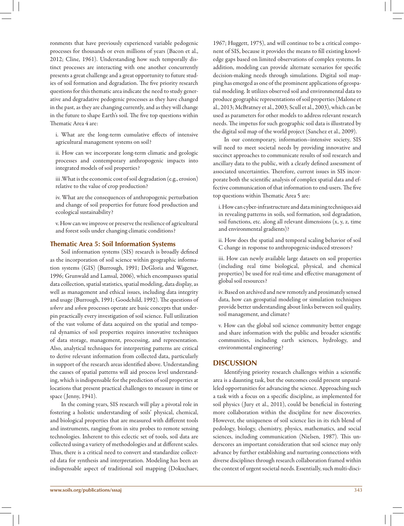ronments that have previously experienced variable pedogenic processes for thousands or even millions of years (Bacon et al., 2012; Cline, 1961). Understanding how such temporally distinct processes are interacting with one another concurrently presents a great challenge and a great opportunity to future studies of soil formation and degradation. The five priority research questions for this thematic area indicate the need to study generative and degradative pedogenic processes as they have changed in the past, as they are changing currently, and as they will change in the future to shape Earth's soil. The five top questions within Thematic Area 4 are:

i. What are the long-term cumulative effects of intensive agricultural management systems on soil?

ii. How can we incorporate long-term climatic and geologic processes and contemporary anthropogenic impacts into integrated models of soil properties?

iii .What is the economic cost of soil degradation (e.g., erosion) relative to the value of crop production?

iv. What are the consequences of anthropogenic perturbation and change of soil properties for future food production and ecological sustainability?

v. How can we improve or preserve the resilience of agricultural and forest soils under changing climatic conditions?

#### **Thematic Area 5: Soil Information Systems**

Soil information systems (SIS) research is broadly defined as the incorporation of soil science within geographic information systems (GIS) (Burrough, 1991; DeGloria and Wagenet, 1996; Grunwald and Lamsal, 2006), which encompasses spatial data collection, spatial statistics, spatial modeling, data display, as well as management and ethical issues, including data integrity and usage (Burrough, 1991; Goodchild, 1992). The questions of *where* and *when* processes operate are basic concepts that underpin practically every investigation of soil science. Full utilization of the vast volume of data acquired on the spatial and temporal dynamics of soil properties requires innovative techniques of data storage, management, processing, and representation. Also, analytical techniques for interpreting patterns are critical to derive relevant information from collected data, particularly in support of the research areas identified above. Understanding the causes of spatial patterns will aid process level understanding, which is indispensable for the prediction of soil properties at locations that present practical challenges to measure in time or space ( Jenny, 1941).

In the coming years, SIS research will play a pivotal role in fostering a holistic understanding of soils' physical, chemical, and biological properties that are measured with different tools and instruments, ranging from in situ probes to remote sensing technologies. Inherent to this eclectic set of tools, soil data are collected using a variety of methodologies and at different scales. Thus, there is a critical need to convert and standardize collected data for synthesis and interpretation. Modeling has been an indispensable aspect of traditional soil mapping (Dokuchaev,

1967; Huggett, 1975), and will continue to be a critical component of SIS, because it provides the means to fill existing knowledge gaps based on limited observations of complex systems. In addition, modeling can provide alternate scenarios for specific decision-making needs through simulations. Digital soil mapping has emerged as one of the prominent applications of geospatial modeling. It utilizes observed soil and environmental data to produce geographic representations of soil properties (Malone et al., 2013; McBratney et al., 2003; Scull et al., 2003), which can be used as parameters for other models to address relevant research needs. The impetus for such geographic soil data is illustrated by the digital soil map of the world project (Sanchez et al., 2009).

In our contemporary, information–intensive society, SIS will need to meet societal needs by providing innovative and succinct approaches to communicate results of soil research and ancillary data to the public, with a clearly defined assessment of associated uncertainties. Therefore, current issues in SIS incorporate both the scientific analysis of complex spatial data and effective communication of that information to end-users. The five top questions within Thematic Area 5 are:

i. How can cyber-infrastructure and data mining techniques aid in revealing patterns in soils, soil formation, soil degradation, soil functions, etc. along all relevant dimensions (x, y, z, time and environmental gradients)?

ii. How does the spatial and temporal scaling behavior of soil C change in response to anthropogenic-induced stressors?

iii. How can newly available large datasets on soil properties (including real time biological, physical, and chemical properties) be used for real-time and effective management of global soil resources?

iv. Based on archived and new remotely and proximately sensed data, how can geospatial modeling or simulation techniques provide better understanding about links between soil quality, soil management, and climate?

v. How can the global soil science community better engage and share information with the public and broader scientific communities, including earth sciences, hydrology, and environmental engineering?

## **DISCUSSION**

Identifying priority research challenges within a scientific area is a daunting task, but the outcomes could present unparalleled opportunities for advancing the science. Approaching such a task with a focus on a specific discipline, as implemented for soil physics ( Jury et al., 2011), could be beneficial in fostering more collaboration within the discipline for new discoveries. However, the uniqueness of soil science lies in its rich blend of pedology, biology, chemistry, physics, mathematics, and social sciences, including communication (Nielsen, 1987). This underscores an important consideration that soil science may only advance by further establishing and nurturing connections with diverse disciplines through research collaboration framed within the context of urgent societal needs. Essentially, such multi-disci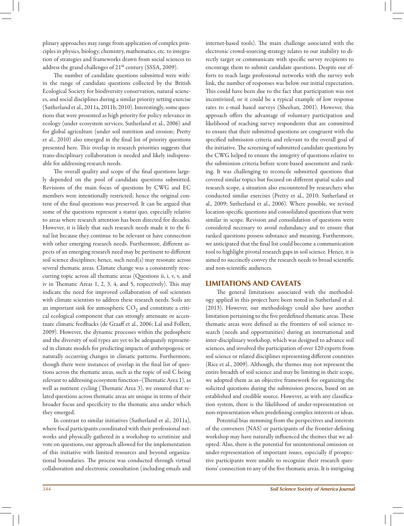plinary approaches may range from application of complex principles in physics, biology, chemistry, mathematics, etc. to integration of strategies and frameworks drawn from social sciences to address the grand challenges of 21<sup>st</sup> century (SSSA, 2009).

The number of candidate questions submitted were within the range of candidate questions collected by the British Ecological Society for biodiversity conservation, natural sciences, and social disciplines during a similar priority setting exercise (Sutherland et al., 2011a, 2011b, 2010). Interestingly, some questions that were presented as high priority for policy relevance in ecology (under ecosystem services; Sutherland et al., 2006) and for global agriculture (under soil nutrition and erosion; Pretty et al., 2010) also emerged in the final list of priority questions presented here. This overlap in research priorities suggests that trans-disciplinary collaboration is needed and likely indispensable for addressing research needs.

The overall quality and scope of the final questions largely depended on the pool of candidate questions submitted. Revisions of the main focus of questions by CWG and EC members were intentionally restricted; hence the original content of the final questions was preserved. It can be argued that some of the questions represent a status quo, especially relative to areas where research attention has been directed for decades. However, it is likely that such research needs made it to the final list because they continue to be relevant or have connection with other emerging research needs. Furthermore, different aspects of an emerging research need may be pertinent to different soil science disciplines; hence, such need(s) may resonate across several thematic areas. Climate change was a consistently reoccurring topic across all thematic areas (Questions ii, i, v, v, and iv in Thematic Areas 1, 2, 3, 4, and 5, respectively). This may indicate the need for improved collaboration of soil scientists with climate scientists to address these research needs. Soils are an important sink for atmospheric  $CO<sub>2</sub>$  and constitute a critical ecological component that can strongly attenuate or accentuate climatic feedbacks (de Graaff et al., 2006; Lal and Follett, 2009). However, the dynamic processes within the pedosphere and the diversity of soil types are yet to be adequately represented in climate models for predicting impacts of anthropogenic or naturally occurring changes in climatic patterns. Furthermore, though there were instances of overlap in the final list of questions across the thematic areas, such as the topic of soil C being relevant to addressing ecosystem function–(Thematic Area 1), as well as nutrient cycling (Thematic Area 3), we ensured that related questions across thematic areas are unique in terms of their broader focus and specificity to the thematic area under which they emerged.

In contrast to similar initiatives (Sutherland et al., 2011a), where focal participants coordinated with their professional networks and physically gathered in a workshop to scrutinize and vote on questions, our approach allowed for the implementation of this initiative with limited resources and beyond organizational boundaries. The process was conducted through virtual collaboration and electronic consultation (including emails and internet-based tools). The main challenge associated with the electronic crowd-sourcing strategy relates to our inability to directly target or communicate with specific survey recipients to encourage them to submit candidate questions. Despite our efforts to reach large professional networks with the survey web link, the number of responses was below our initial expectation. This could have been due to the fact that participation was not incentivized, or it could be a typical example of low response rates to e-mail based surveys (Sheehan, 2001). However, this approach offers the advantage of voluntary participation and likelihood of reaching survey respondents that are committed to ensure that their submitted questions are congruent with the specified submission criteria and relevant to the overall goal of the initiative. The screening of submitted candidate questions by the CWG helped to ensure the integrity of questions relative to the submission criteria before score-based assessment and ranking. It was challenging to reconcile submitted questions that covered similar topics but focused on different spatial scales and research scope, a situation also encountered by researchers who conducted similar exercises (Pretty et al., 2010; Sutherland et al., 2009; Sutherland et al., 2006). Where possible, we revised location-specific questions and consolidated questions that were similar in scope. Revision and consolidation of questions were considered necessary to avoid redundancy and to ensure that ranked questions possess substance and meaning. Furthermore, we anticipated that the final list could become a communication tool to highlight pivotal research gaps in soil science. Hence, it is aimed to succinctly convey the research needs to broad scientific and non-scientific audiences.

## **LIMITATIONS AND CAVEATS**

The general limitations associated with the methodology applied in this project have been noted in Sutherland et al. (2013). However, our methodology could also have another limitation pertaining to the five predefined thematic areas. These thematic areas were defined as the frontiers of soil science research (needs and opportunities) during an international and inter-disciplinary workshop, which was designed to advance soil sciences, and involved the participation of over 120 experts from soil science or related disciplines representing different countries (Rice et al., 2009). Although, the themes may not represent the entire breadth of soil science and may be limiting in their scope, we adopted them as an objective framework for organizing the solicited questions during the submission process, based on an established and credible source. However, as with any classification system, there is the likelihood of under-representation or non-representation when predefining complex interests or ideas.

Potential bias stemming from the perspectives and interests of the conveners (NAS) or participants of the frontier-defining workshop may have naturally influenced the themes that we adopted. Also, there is the potential for unintentional omission or under-representation of important issues, especially if prospective participants were unable to recognize their research questions' connection to any of the five thematic areas. It is intriguing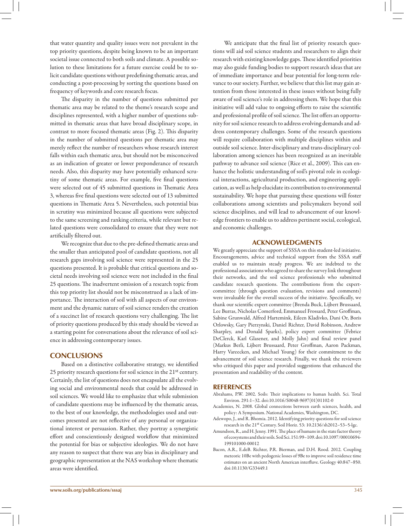that water quantity and quality issues were not prevalent in the top priority questions, despite being known to be an important societal issue connected to both soils and climate. A possible solution to these limitations for a future exercise could be to solicit candidate questions without predefining thematic areas, and conducting a post-processing by sorting the questions based on frequency of keywords and core research focus.

The disparity in the number of questions submitted per thematic area may be related to the theme's research scope and disciplines represented, with a higher number of questions submitted in thematic areas that have broad disciplinary scope, in contrast to more focused thematic areas (Fig. 2). This disparity in the number of submitted questions per thematic area may merely reflect the number of researchers whose research interest falls within each thematic area, but should not be misconceived as an indication of greater or lower preponderance of research needs. Also, this disparity may have potentially enhanced scrutiny of some thematic areas. For example, five final questions were selected out of 45 submitted questions in Thematic Area 3, whereas five final questions were selected out of 13 submitted questions in Thematic Area 5. Nevertheless, such potential bias in scrutiny was minimized because all questions were subjected to the same screening and ranking criteria, while relevant but related questions were consolidated to ensure that they were not artificially filtered out.

We recognize that due to the pre-defined thematic areas and the smaller than anticipated pool of candidate questions, not all research gaps involving soil science were represented in the 25 questions presented. It is probable that critical questions and societal needs involving soil science were not included in the final 25 questions. The inadvertent omission of a research topic from this top priority list should not be misconstrued as a lack of importance. The interaction of soil with all aspects of our environment and the dynamic nature of soil science renders the creation of a succinct list of research questions very challenging. The list of priority questions produced by this study should be viewed as a starting point for conversations about the relevance of soil science in addressing contemporary issues.

## **CONCLUSIONS**

Based on a distinctive collaborative strategy, we identified 25 priority research questions for soil science in the 21<sup>st</sup> century. Certainly, the list of questions does not encapsulate all the evolving social and environmental needs that could be addressed in soil sciences. We would like to emphasize that while submission of candidate questions may be influenced by the thematic areas, to the best of our knowledge, the methodologies used and outcomes presented are not reflective of any personal or organizational interest or persuasion. Rather, they portray a synergistic effort and conscientiously designed workflow that minimized the potential for bias or subjective ideologies. We do not have any reason to suspect that there was any bias in disciplinary and geographic representation at the NAS workshop where thematic areas were identified.

We anticipate that the final list of priority research questions will aid soil science students and researchers to align their research with existing knowledge gaps. These identified priorities may also guide funding bodies to support research ideas that are of immediate importance and bear potential for long-term relevance to our society. Further, we believe that this list may gain attention from those interested in these issues without being fully aware of soil science's role in addressing them. We hope that this initiative will add value to ongoing efforts to raise the scientific and professional profile of soil science. The list offers an opportunity for soil science research to address evolving demands and address contemporary challenges. Some of the research questions will require collaboration with multiple disciplines within and outside soil science. Inter-disciplinary and trans-disciplinary collaboration among sciences has been recognized as an inevitable pathway to advance soil science (Rice et al., 2009). This can enhance the holistic understanding of soil's pivotal role in ecological interactions, agricultural production, and engineering application, as well as help elucidate its contribution to environmental sustainability. We hope that pursuing these questions will foster collaborations among scientists and policymakers beyond soil science disciplines, and will lead to advancement of our knowledge frontiers to enable us to address pertinent social, ecological, and economic challenges.

## **ACKNOWLEDGMENTS**

We greatly appreciate the support of SSSA on this student-led initiative. Encouragements, advice and technical support from the SSSA staff enabled us to maintain steady progress. We are indebted to the professional associations who agreed to share the survey link throughout their networks, and the soil science professionals who submitted candidate research questions. The contributions from the expertcommittee (through question evaluation, revisions and comments) were invaluable for the overall success of the initiative. Specifically, we thank our scientific expert committee (Brenda Buck, Lijbert Brussaard, Lee Burras, Nicholas Comerford, Emmanuel Frossard, Peter Groffman, Sabine Grunwald, Alfred Hartemink, Eileen Kladivko, Dani Or, Boris Orlowsky, Gary Pierzynski, Daniel Richter, David Robinson, Andrew Sharpley, and Donald Sparks), policy expert committee (Febrice DeClerck, Karl Glasener, and Molly Jahn) and final review panel (Markus Berli, Lijbert Brussaard, Peter Groffman, Aaron Packman, Harry Vareecken, and Michael Young) for their commitment to the advancement of soil science research. Finally, we thank the reviewers who critiqued this paper and provided suggestions that enhanced the presentation and readability of the content.

## **REFERENCES**

- Abrahams, P.W. 2002. Soils: Their implications to human health. Sci. Total Environ. 291:1–32. doi:10.1016/S0048-9697(01)01102-0
- Academies, N. 2008. Global connections between earth sciences, health, and policy: A Symposium. National Academies, Washington, DC.
- Adewopo, J., and R. Bhomia. 2012. Identifying priority questions for soil science research in the 21st Century. Soil Horiz. 53: 10.2136/sh2012–53–5-lgc.
- Amundson, R., and H. Jenny. 1991. The place of humans in the state factor theory of ecosystems and their soils. Soil Sci. 151:99–109. doi:10.1097/00010694- 199101000-00012
- Bacon, A.R., E.deB. Richter, P.R. Bierman, and D.H. Rood. 2012. Coupling meteoric 10Be with pedogenic losses of 9Be to improve soil residence time estimates on an ancient North American interfluve. Geology 40:847–850. doi:10.1130/G33449.1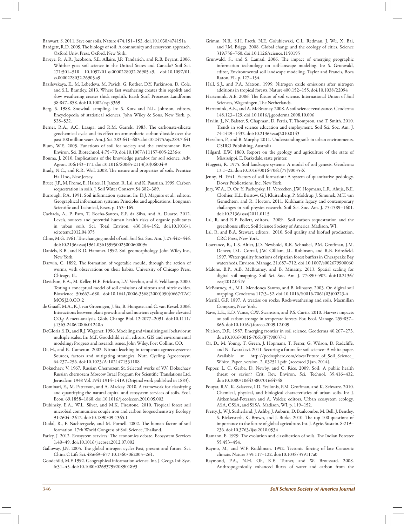Banwart, S. 2011. Save our soils. Nature 474:151–152. doi:10.1038/474151a

- Bardgett, R.D. 2005. The biology of soil: A community and ecosystem approach. Oxford Univ. Press, Oxford, New York.
- Baveye, P., A.R. Jacobson, S.E. Allaire, J.P. Tandarich, and R.B. Bryant. 2006. Whither goes soil science in the United States and Canada? Soil Sci. 171:501–518 10.1097/01.ss.0000228032.26905.a9. doi:10.1097/01. ss.0000228032.26905.a9
- Bazilevskaya, E., M. Lebedeva, M. Pavich, G. Rother, D.Y. Parkinson, D. Cole, and S.L. Brantley. 2013. Where fast weathering creates thin regolith and slow weathering creates thick regolith. Earth Surf. Processes Landforms 38:847–858. doi:10.1002/esp.3369
- Berg, S. 1988. Snowball sampling. In: S. Kotz and N.L. Johnson, editors, Encyclopedia of statistical sciences. John Wiley & Sons, New York. p. 528–532.
- Berner, R.A., A.C. Lasaga, and R.M. Garrels. 1983. The carbonate-silicate geochemical cycle and its effect on atmospheric carbon-dioxide over the past 100 million years. Am. J. Sci. 283:641–683. doi:10.2475/ajs.283.7.641
- Blum, W.E. 2005. Functions of soil for society and the environment. Rev. Environ. Sci. Biotechnol. 4:75–79. doi:10.1007/s11157-005-2236-x
- Bouma, J. 2010. Implications of the knowledge paradox for soil science. Adv. Agron. 106:143–171. doi:10.1016/S0065-2113(10)06004-9
- Brady, N.C., and R.R. Weil. 2008. The nature and properties of soils. Prentice Hall Inc., New Jersey.
- Bruce, J.P., M. Frome, E. Haites, H. Janzen, R. Lal, and K. Paustian. 1999. Carbon sequestration in soils. J. Soil Water Conserv. 54:382–389.
- Burrough, P.A. 1991. Soil information systems. In: D.J. Maguire et al., editors, Geographical information systems: Principles and applications. Longman Scientific and Technical, Essex. p. 153–169.
- Cachada, A., P. Pato, T. Rocha-Santos, E.F. da Silva, and A. Duarte. 2012. Levels, sources and potential human health risks of organic pollutants in urban soils. Sci. Total Environ. 430:184–192. doi:10.1016/j. scitotenv.2012.04.075
- Cline, M.G. 1961. The changing model of soil. Soil Sci. Soc. Am. J. 25:442–446. doi:10.2136/sssaj1961.03615995002500060009x
- Daniels, R.B., and R.D. Hammer. 1992. Soil geomorphology. John Wiley Inc., New York.
- Darwin, C. 1892. The formation of vegetable mould, through the action of worms, with observations on their habits. University of Chicago Press, Chicago, IL.
- Davidson, E.A., M. Keller, H.E. Erickson, L.V. Verchot, and E. Veldkamp. 2000. Testing a conceptual model of soil emissions of nitrous and nitric oxides. Bioscience 50:667–680. doi:10.1641/0006-3568(2000)050[0667:TAC MOS]2.0.CO;2
- de Graaff, M.A., K.J. van Groenigen, J. Six, B. Hungate, and C. van Kessel. 2006. Interactions between plant growth and soil nutrient cycling under elevated CO2: A meta-analysis. Glob. Change Biol. 12:2077–2091. doi:10.1111/ j.1365-2486.2006.01240.x
- DeGloria, S.D., and R.J. Wagenet. 1996. Modeling and visualizing soil behavior at multiple scales. In: M.F. Goodchild et al., editors, GIS and environmental modeling: Progress and research issues. John Wiley, Fort Collins, CO.
- Di, H., and K. Cameron. 2002. Nitrate leaching in temperate agroecosystems: Sources, factors and mitigating strategies. Nutr. Cycling Agroecosyst. 64:237–256. doi:10.1023/A:1021471531188
- Dokuchaev, V. 1967. Russian Chernozem St. Selected works of V.V. Dokuchaev Russian chernozem Moscow Israel Program for Scientific Translations Ltd, Jerusalem: 1948 Vol. 1941:1914–1419. (Original work published in 1883).
- Dominati, E., M. Patterson, and A. Mackay. 2010. A framework for classifying and quantifying the natural capital and ecosystem services of soils. Ecol. Econ. 69:1858–1868. doi:10.1016/j.ecolecon.2010.05.002
- Dubinsky, E.A., W.L. Silver, and M.K. Firestone. 2010. Tropical forest soil microbial communities couple iron and carbon biogeochemistry. Ecology 91:2604–2612. doi:10.1890/09-1365.1
- Dudal, R., F. Nachtergaele, and M. Purnell. 2002. The human factor of soil formation. 17th World Congress of Soil Science, Thailand.
- Farley, J. 2012. Ecosystem services: The economics debate. Ecosystem Services 1:40–49. doi:10.1016/j.ecoser.2012.07.002
- Galloway, J.N. 2005. The global nitrogen cycle: Past, present and future. Sci. China C Life Sci. 48:669–677 10.1360/062005–261.
- Goodchild, M.F. 1992. Geographical information science. Int. J. Geogr. Inf. Syst. 6:31–45. doi:10.1080/02693799208901893
- Grimm, N.B., S.H. Faeth, N.E. Golubiewski, C.L. Redman, J. Wu, X. Bai, and J.M. Briggs. 2008. Global change and the ecology of cities. Science 319:756–760. doi:10.1126/science.1150195
- Grunwald, S., and S. Lamsal. 2006. The impact of emerging geographic information technology on soil-lanscape modeling. In: S. Grunwald, editor, Environmental soil landscape modeling. Taylor and Francis, Boca Raton, FL. p. 127–154.
- Hall, S.J., and P.A. Matson. 1999. Nitrogen oxide emissions after nitrogen additions in tropical forests. Nature 400:152–155. doi:10.1038/22094
- Hartemink, A.E. 2006. The future of soil science. International Union of Soil Sciences, Wageningen, The Netherlands.
- Hartemink, A.E., and A. McBratney. 2008. A soil science renaissance. Geoderma 148:123–129. doi:10.1016/j.geoderma.2008.10.006
- Havlin, J., N. Balster, S. Chapman, D. Ferris, T. Thompson, and T. Smith. 2010. Trends in soil science education and employment. Soil Sci. Soc. Am. J. 74:1429–1432. doi:10.2136/sssaj2010.0143
- Hazelton, P., and B. Murphy. 2011. Understanding soils in urban environments. CSIRO Publishing, Australia.
- Hilgard, E.W. 1860. Report on the geology and agriculture of the state of Mississippi. E. Barksdale, state printer.
- Huggett, R. 1975. Soil landscape systems: A model of soil genesis. Geoderma 13:1–22. doi:10.1016/0016-7061(75)90035-X
- Jenny, H. 1941. Factors of soil formation: A system of quantitative pedology. Dover Publications, Inc, New York.
- Jury, W.A., D. Or, Y. Pachepsky, H. Vereecken, J.W. Hopmans, L.R. Ahuja, B.E. Clothier, K.L. Bristow, G.J. Kluitenberg, P. Moldrup, J. Simunek, M.T. van Genuchten, and R. Horton. 2011. Kirkham's legacy and contemporary challenges in soil physics research. Soil Sci. Soc. Am. J. 75:1589–1601. doi:10.2136/sssaj2011.0115
- Lal, R. and R.F. Follett, editors. 2009. Soil carbon sequestration and the greenhouse effect. Soil Science Society of America, Madison, WI.
- Lal, R. and B.A. Stewart, editors. 2010. Soil quality and biofuel production. CRC Press, New York.
- Lowrance, R., L.S. Altier, J.D. Newbold, R.R. Schnabel, P.M. Groffman, J.M. Denver, D.L. Correll, J.W. Gilliam, J.L. Robinson, and R.B. Brinsfield. 1997. Water quality functions of riparian forest buffers in Chesapeake Bay watersheds. Environ. Manage. 21:687–712. doi:10.1007/s002679900060
- Malone, B.P., A.B. McBratney, and B. Minasny. 2013. Spatial scaling for digital soil mapping. Soil Sci. Soc. Am. J. 77:890–902. doi:10.2136/ sssaj2012.0419
- McBratney, A., M.L. Mendonça Santos, and B. Minasny. 2003. On digital soil mapping. Geoderma 117:3–52. doi:10.1016/S0016-7061(03)00223-4
- Merrill, G.P. 1897. A treatise on rocks: Rock-weathering and soils. Macmillan Company, New York.
- Nave, L.E., E.D. Vance, C.W. Swanston, and P.S. Curtis. 2010. Harvest impacts on soil carbon storage in temperate forests. For. Ecol. Manage. 259:857– 866. doi:10.1016/j.foreco.2009.12.009
- Nielsen, D.R. 1987. Emerging frontier in soil science. Geoderma 40:267–273. doi:10.1016/0016-7061(87)90037-1
- Or, D., M. Young, T. Green, J. Hopmans, T. Ferrer, G. Wilson, D. Radcliffe, and N. Twarakavi. 2011. Securing a future for soil science–A white paper. Available at http://pedosphere.com/docs/Future\_of\_Soil\_Science\_ White\_Paper\_version\_2\_032511.pdf (accessed 3 jan. 2014).
- Pepper, I., C. Gerba, D. Newby, and C. Rice. 2009. Soil: A public health threat or savior? Crit. Rev. Environ. Sci. Technol. 39:416–432. doi:10.1080/10643380701664748
- Pouyat, R.V., K. Szlavecz, I.D. Yesilonis, P.M. Groffman, and K. Schwarz. 2010. Chemical, physical, and biological characteristics of urban soils. In: J. Aitkenhead-Peterson and A. Volder, editors, Urban ecosystem ecology. ASA, CSSA, and SSSA, Madison, WI. p. 119–152.
- Pretty, J., W.J. Sutherland, J. Ashby, J. Auburn, D. Baulcombe, M. Bell, J. Bentley, S. Bickersteth, K. Brown, and J. Burke. 2010. The top 100 questions of importance to the future of global agriculture. Int. J. Agric. Sustain. 8:219– 236. doi:10.3763/ijas.2010.0534
- Ramann, E. 1929. The evolution and classification of soils. The Indian Forester 55:453–454.
- Raymo, M., and W.F. Ruddiman. 1992. Tectonic forcing of late Cenozoic climate. Nature 359:117–122. doi:10.1038/359117a0
- Raymond, P.A., N.H. Oh, R.E. Turner, and W. Broussard. 2008. Anthropogenically enhanced fluxes of water and carbon from the